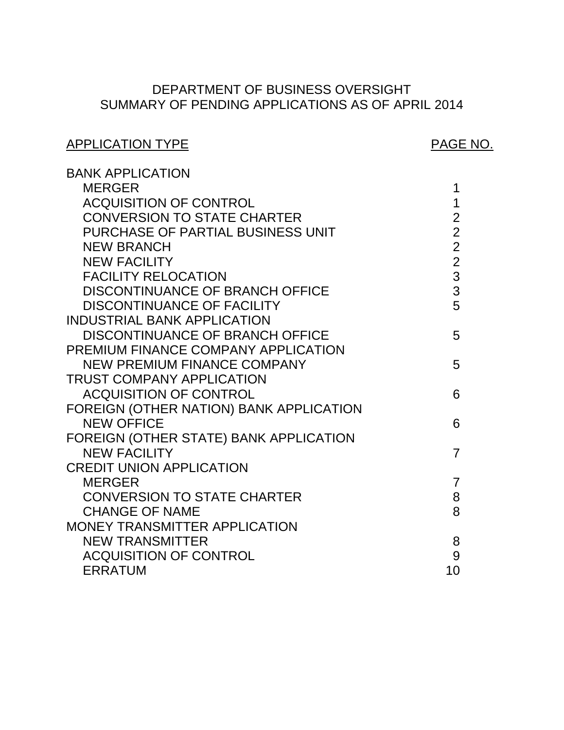# SUMMARY OF PENDING APPLICATIONS AS OF APRIL 2014 DEPARTMENT OF BUSINESS OVERSIGHT

# ACQUISITION OF CONTROL **1**  [CONVERSION TO STATE CHARTER 2](#page-2-0)  DISCONTINUANCE OF BRANCH OFFICE  $\qquad \qquad 3$ DISCONTINUANCE OF BRANCH OFFICE 5 NEW PREMIUM FINANCE COMPANY 5 ACQUISITION OF CONTROL **6**  FOREIGN (OTHER NATION) BANK APPLICATION FOREIGN (OTHER STATE) BANK APPLICATION CONVERSION TO STATE CHARTER  $8\overline{3}$ ACQUISITION OF CONTROL GOOD ACCOUNT AND SUMMARY SUMMARY SUMMARY SUMMARY SUMMARY SUMMARY SUMMARY SUMMARY SUMMAR APPLICATION TYPE APPLICATION TYPE BANK APPLICATION [MERGER 1](#page-1-0)  INDUSTRIAL BANK APPLICATION PREMIUM FINANCE COMPANY APPLICATION TRUST COMPANY APPLICATION CREDIT UNION APPLICATION MONEY TRANSMITTER APPLICATION PURCHASE OF PARTIAL BUSINESS UNIT 2 NEW BRANCH<br>NEW FACILITY 2 NEW FACILITY FACILITY RELOCATION<br>DISCONTINUANCE OF BRANCH OFFICE  $\begin{array}{ccc} & 3 \end{array}$ DISCONTINUANCE OF FACILITY 5 NEW OFFICE 6 NEW FACILITY 7 MERGER 7 CHANGE OF NAME 8 NEW TRANSMITTER 8 [ERRATUM 10](#page-10-0)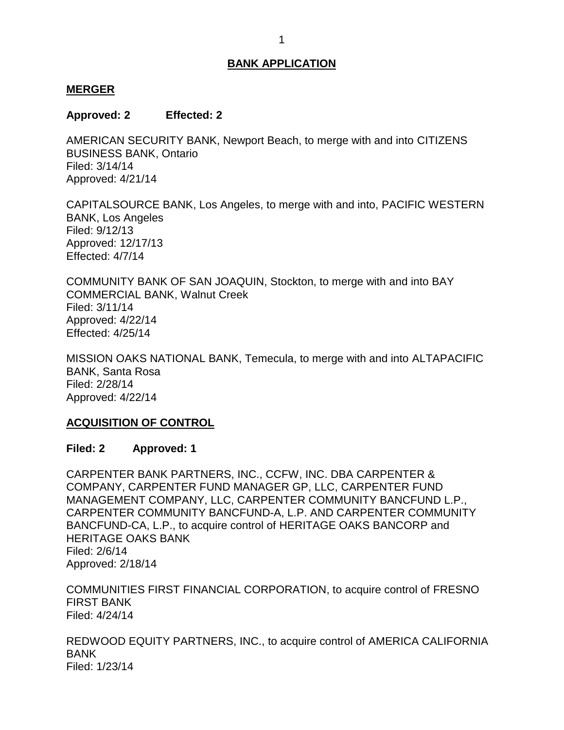#### <span id="page-1-0"></span>**MERGER**

#### **Approved: 2 Effected: 2**

 AMERICAN SECURITY BANK, Newport Beach, to merge with and into CITIZENS BUSINESS BANK, Ontario Filed: 3/14/14 Approved: 4/21/14

 CAPITALSOURCE BANK, Los Angeles, to merge with and into, PACIFIC WESTERN BANK, Los Angeles Filed: 9/12/13 Approved: 12/17/13 Effected: 4/7/14

 COMMUNITY BANK OF SAN JOAQUIN, Stockton, to merge with and into BAY COMMERCIAL BANK, Walnut Creek Filed: 3/11/14 Approved: 4/22/14 Effected: 4/25/14

 MISSION OAKS NATIONAL BANK, Temecula, to merge with and into ALTAPACIFIC BANK, Santa Rosa Filed: 2/28/14 Approved: 4/22/14

### **ACQUISITION OF CONTROL**

### **Filed: 2 Approved: 1**

 CARPENTER BANK PARTNERS, INC., CCFW, INC. DBA CARPENTER & CARPENTER COMMUNITY BANCFUND-A, L.P. AND CARPENTER COMMUNITY BANCFUND-CA, L.P., to acquire control of HERITAGE OAKS BANCORP and HERITAGE OAKS BANK COMPANY, CARPENTER FUND MANAGER GP, LLC, CARPENTER FUND MANAGEMENT COMPANY, LLC, CARPENTER COMMUNITY BANCFUND L.P., Filed: 2/6/14 Approved: 2/18/14

 COMMUNITIES FIRST FINANCIAL CORPORATION, to acquire control of FRESNO FIRST BANK Filed: 4/24/14

 REDWOOD EQUITY PARTNERS, INC., to acquire control of AMERICA CALIFORNIA BANK Filed: 1/23/14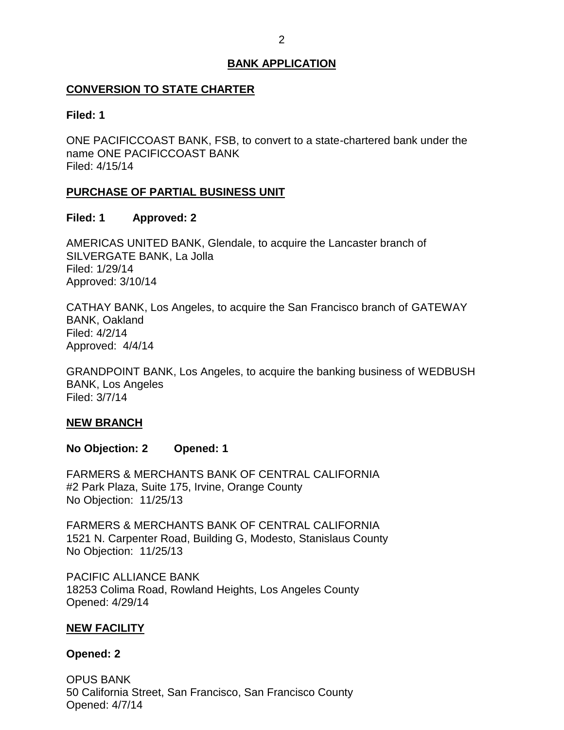## <span id="page-2-0"></span> **CONVERSION TO STATE CHARTER**

### **Filed: 1**

 ONE PACIFICCOAST BANK, FSB, to convert to a state-chartered bank under the name ONE PACIFICCOAST BANK Filed: 4/15/14

### **PURCHASE OF PARTIAL BUSINESS UNIT**

### **Filed: 1 Approved: 2**

 AMERICAS UNITED BANK, Glendale, to acquire the Lancaster branch of SILVERGATE BANK, La Jolla Filed: 1/29/14 Approved: 3/10/14

 CATHAY BANK, Los Angeles, to acquire the San Francisco branch of GATEWAY BANK, Oakland Filed: 4/2/14 Approved: 4/4/14

 GRANDPOINT BANK, Los Angeles, to acquire the banking business of WEDBUSH BANK, Los Angeles Filed: 3/7/14

### **NEW BRANCH**

**No Objection: 2 Opened: 1** 

 FARMERS & MERCHANTS BANK OF CENTRAL CALIFORNIA #2 Park Plaza, Suite 175, Irvine, Orange County No Objection: 11/25/13

 FARMERS & MERCHANTS BANK OF CENTRAL CALIFORNIA 1521 N. Carpenter Road, Building G, Modesto, Stanislaus County No Objection: 11/25/13

 18253 Colima Road, Rowland Heights, Los Angeles County PACIFIC ALLIANCE BANK Opened: 4/29/14

### **NEW FACILITY**

### **Opened: 2**

 50 California Street, San Francisco, San Francisco County OPUS BANK Opened: 4/7/14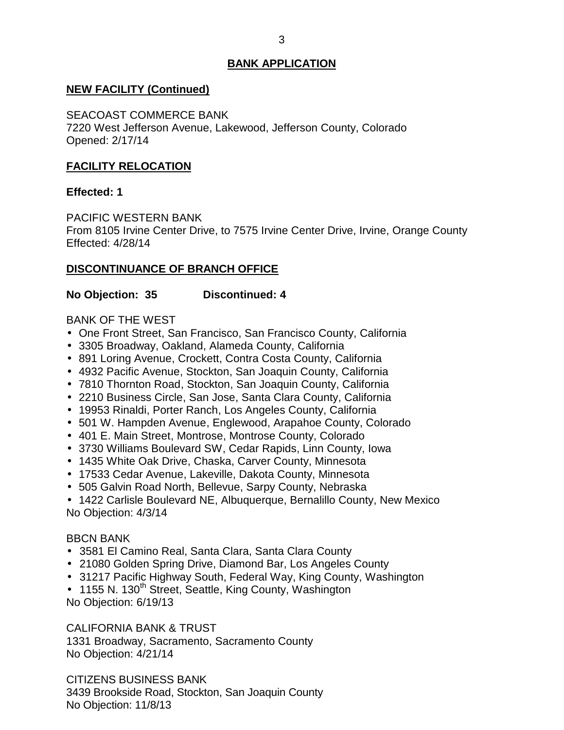## <span id="page-3-0"></span> **NEW FACILITY (Continued)**

SEACOAST COMMERCE BANK

 7220 West Jefferson Avenue, Lakewood, Jefferson County, Colorado Opened: 2/17/14

### **FACILITY RELOCATION**

### **Effected: 1**

PACIFIC WESTERN BANK

 From 8105 Irvine Center Drive, to 7575 Irvine Center Drive, Irvine, Orange County Effected: 4/28/14

### **DISCONTINUANCE OF BRANCH OFFICE**

**No Objection: 35 Discontinued: 4** 

BANK OF THE WEST

- One Front Street, San Francisco, San Francisco County, California
- 3305 Broadway, Oakland, Alameda County, California
- 891 Loring Avenue, Crockett, Contra Costa County, California
- 4932 Pacific Avenue, Stockton, San Joaquin County, California
- 7810 Thornton Road, Stockton, San Joaquin County, California
- 2210 Business Circle, San Jose, Santa Clara County, California
- 19953 Rinaldi, Porter Ranch, Los Angeles County, California
- 501 W. Hampden Avenue, Englewood, Arapahoe County, Colorado
- 401 E. Main Street, Montrose, Montrose County, Colorado
- 3730 Williams Boulevard SW, Cedar Rapids, Linn County, Iowa
- 1435 White Oak Drive, Chaska, Carver County, Minnesota
- 17533 Cedar Avenue, Lakeville, Dakota County, Minnesota
- 505 Galvin Road North, Bellevue, Sarpy County, Nebraska
- 1422 Carlisle Boulevard NE, Albuquerque, Bernalillo County, New Mexico No Objection: 4/3/14

### BBCN BANK

- 3581 El Camino Real, Santa Clara, Santa Clara County
- 21080 Golden Spring Drive, Diamond Bar, Los Angeles County
- 31217 Pacific Highway South, Federal Way, King County, Washington
- 1155 N. 130<sup>th</sup> Street, Seattle, King County, Washington No Objection: 6/19/13

CALIFORNIA BANK & TRUST

 1331 Broadway, Sacramento, Sacramento County No Objection: 4/21/14

 CITIZENS BUSINESS BANK 3439 Brookside Road, Stockton, San Joaquin County No Objection: 11/8/13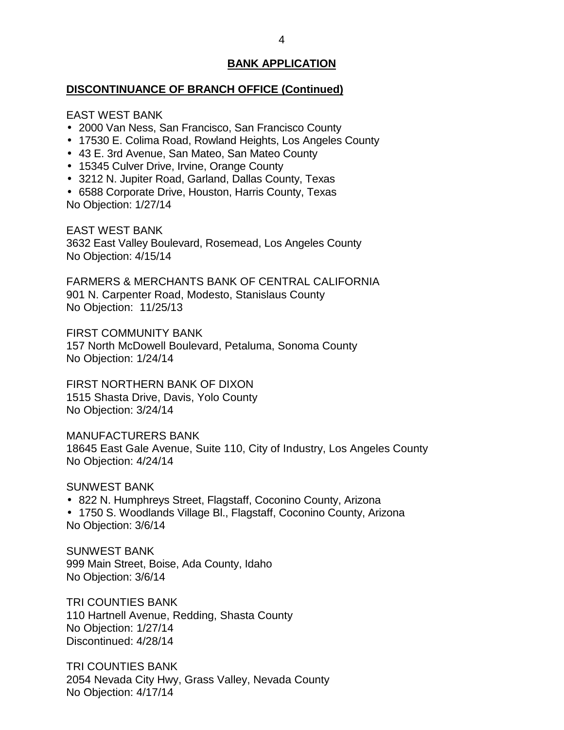#### **DISCONTINUANCE OF BRANCH OFFICE (Continued)**

EAST WEST BANK

- 2000 Van Ness, San Francisco, San Francisco County
- 17530 E. Colima Road, Rowland Heights, Los Angeles County
- 43 E. 3rd Avenue, San Mateo, San Mateo County
- 15345 Culver Drive, Irvine, Orange County
- 3212 N. Jupiter Road, Garland, Dallas County, Texas
- 6588 Corporate Drive, Houston, Harris County, Texas No Objection: 1/27/14

 3632 East Valley Boulevard, Rosemead, Los Angeles County No Objection: 4/15/14 EAST WEST BANK

 FARMERS & MERCHANTS BANK OF CENTRAL CALIFORNIA 901 N. Carpenter Road, Modesto, Stanislaus County No Objection: 11/25/13

 157 North McDowell Boulevard, Petaluma, Sonoma County FIRST COMMUNITY BANK No Objection: 1/24/14

 1515 Shasta Drive, Davis, Yolo County No Objection: 3/24/14 FIRST NORTHERN BANK OF DIXON

 18645 East Gale Avenue, Suite 110, City of Industry, Los Angeles County No Objection: 4/24/14 MANUFACTURERS BANK

SUNWEST BANK

- 822 N. Humphreys Street, Flagstaff, Coconino County, Arizona
- 1750 S. Woodlands Village Bl., Flagstaff, Coconino County, Arizona No Objection: 3/6/14

 999 Main Street, Boise, Ada County, Idaho No Objection: 3/6/14 SUNWEST BANK

 110 Hartnell Avenue, Redding, Shasta County TRI COUNTIES BANK No Objection: 1/27/14 Discontinued: 4/28/14

 2054 Nevada City Hwy, Grass Valley, Nevada County No Objection: 4/17/14 TRI COUNTIES BANK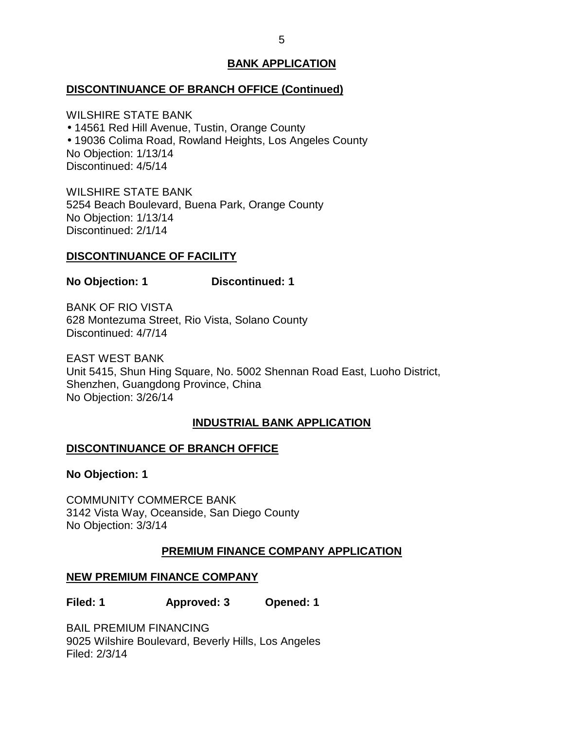### <span id="page-5-0"></span>**DISCONTINUANCE OF BRANCH OFFICE (Continued)**

 WILSHIRE STATE BANK 14561 Red Hill Avenue, Tustin, Orange County 19036 Colima Road, Rowland Heights, Los Angeles County No Objection: 1/13/14 Discontinued: 4/5/14

 WILSHIRE STATE BANK 5254 Beach Boulevard, Buena Park, Orange County No Objection: 1/13/14 Discontinued: 2/1/14

### **DISCONTINUANCE OF FACILITY**

**No Objection: 1 Discontinued: 1** 

 BANK OF RIO VISTA 628 Montezuma Street, Rio Vista, Solano County Discontinued: 4/7/14

 EAST WEST BANK Unit 5415, Shun Hing Square, No. 5002 Shennan Road East, Luoho District, Shenzhen, Guangdong Province, China No Objection: 3/26/14

### **INDUSTRIAL BANK APPLICATION**

### **DISCONTINUANCE OF BRANCH OFFICE**

**No Objection: 1** 

 3142 Vista Way, Oceanside, San Diego County No Objection: 3/3/14 COMMUNITY COMMERCE BANK

## **PREMIUM FINANCE COMPANY APPLICATION**

### **NEW PREMIUM FINANCE COMPANY**

**Filed: 1 Approved: 3 Opened: 1** 

 BAIL PREMIUM FINANCING 9025 Wilshire Boulevard, Beverly Hills, Los Angeles Filed: 2/3/14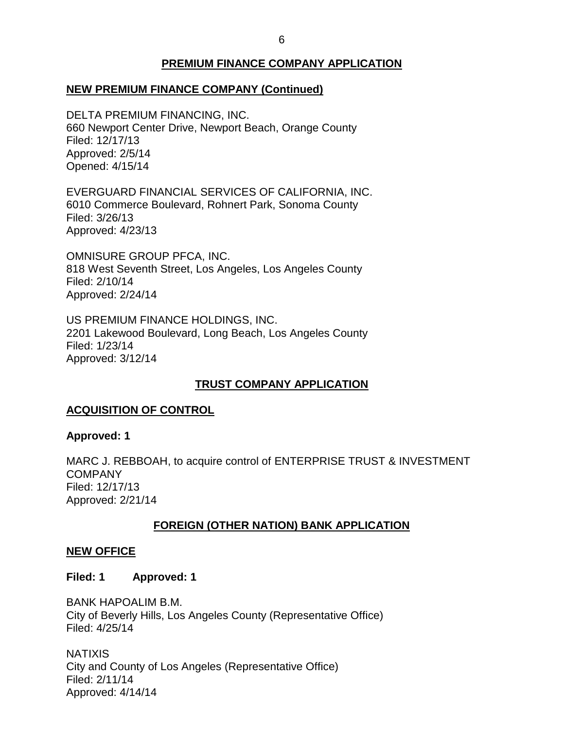## **PREMIUM FINANCE COMPANY APPLICATION**

## <span id="page-6-0"></span> **NEW PREMIUM FINANCE COMPANY (Continued)**

 DELTA PREMIUM FINANCING, INC. 660 Newport Center Drive, Newport Beach, Orange County Filed: 12/17/13 Approved: 2/5/14 Opened: 4/15/14

 6010 Commerce Boulevard, Rohnert Park, Sonoma County EVERGUARD FINANCIAL SERVICES OF CALIFORNIA, INC. Filed: 3/26/13 Approved: 4/23/13

 OMNISURE GROUP PFCA, INC. 818 West Seventh Street, Los Angeles, Los Angeles County Filed: 2/10/14 Approved: 2/24/14

 US PREMIUM FINANCE HOLDINGS, INC. 2201 Lakewood Boulevard, Long Beach, Los Angeles County Filed: 1/23/14 Approved: 3/12/14

## **TRUST COMPANY APPLICATION**

### **ACQUISITION OF CONTROL**

### **Approved: 1**

 MARC J. REBBOAH, to acquire control of ENTERPRISE TRUST & INVESTMENT **COMPANY** Filed: 12/17/13 Approved: 2/21/14

### **FOREIGN (OTHER NATION) BANK APPLICATION**

### **NEW OFFICE**

#### **Filed: 1 Approved: 1**

 City of Beverly Hills, Los Angeles County (Representative Office) BANK HAPOALIM B.M. Filed: 4/25/14

 City and County of Los Angeles (Representative Office) **NATIXIS** Filed: 2/11/14 Approved: 4/14/14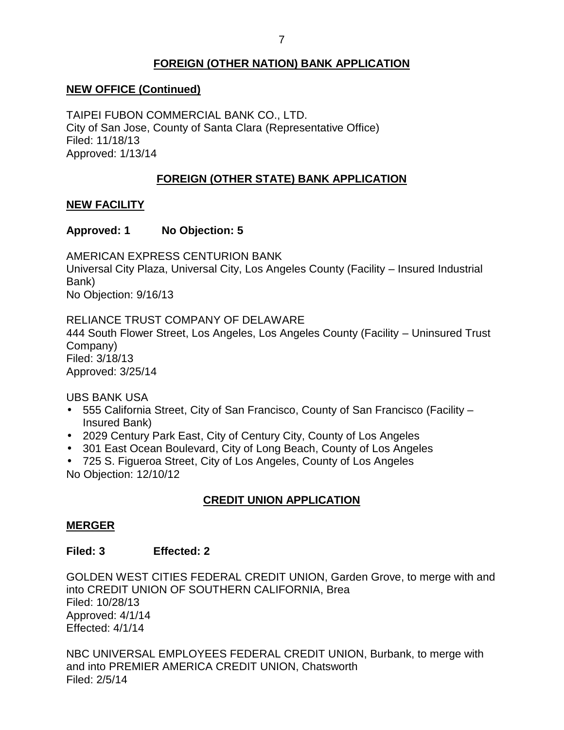## **FOREIGN (OTHER NATION) BANK APPLICATION**

## <span id="page-7-0"></span> **NEW OFFICE (Continued)**

 TAIPEI FUBON COMMERCIAL BANK CO., LTD. City of San Jose, County of Santa Clara (Representative Office) Filed: 11/18/13 Approved: 1/13/14

## **FOREIGN (OTHER STATE) BANK APPLICATION**

### **NEW FACILITY**

## **Approved: 1 No Objection: 5**

 Universal City Plaza, Universal City, Los Angeles County (Facility – Insured Industrial AMERICAN EXPRESS CENTURION BANK Bank) No Objection: 9/16/13

 RELIANCE TRUST COMPANY OF DELAWARE 444 South Flower Street, Los Angeles, Los Angeles County (Facility – Uninsured Trust Company) Filed: 3/18/13 Approved: 3/25/14

UBS BANK USA

- 555 California Street, City of San Francisco, County of San Francisco (Facility Insured Bank)
- 2029 Century Park East, City of Century City, County of Los Angeles
- 301 East Ocean Boulevard, City of Long Beach, County of Los Angeles
- 725 S. Figueroa Street, City of Los Angeles, County of Los Angeles No Objection: 12/10/12

## **CREDIT UNION APPLICATION**

### **MERGER**

### **Filed: 3 Effected: 2**

 GOLDEN WEST CITIES FEDERAL CREDIT UNION, Garden Grove, to merge with and into CREDIT UNION OF SOUTHERN CALIFORNIA, Brea Filed: 10/28/13 Approved: 4/1/14 Effected: 4/1/14

 NBC UNIVERSAL EMPLOYEES FEDERAL CREDIT UNION, Burbank, to merge with and into PREMIER AMERICA CREDIT UNION, Chatsworth Filed: 2/5/14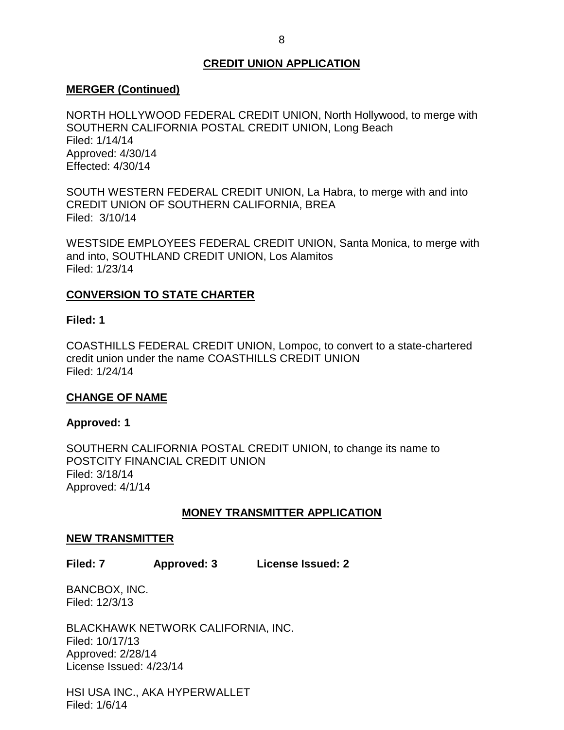### **CREDIT UNION APPLICATION**

### <span id="page-8-0"></span>**MERGER (Continued)**

 NORTH HOLLYWOOD FEDERAL CREDIT UNION, North Hollywood, to merge with SOUTHERN CALIFORNIA POSTAL CREDIT UNION, Long Beach Filed: 1/14/14 Approved: 4/30/14 Effected: 4/30/14

 SOUTH WESTERN FEDERAL CREDIT UNION, La Habra, to merge with and into Filed: 3/10/14 CREDIT UNION OF SOUTHERN CALIFORNIA, BREA

 WESTSIDE EMPLOYEES FEDERAL CREDIT UNION, Santa Monica, to merge with and into, SOUTHLAND CREDIT UNION, Los Alamitos Filed: 1/23/14

## **CONVERSION TO STATE CHARTER**

### **Filed: 1**

 COASTHILLS FEDERAL CREDIT UNION, Lompoc, to convert to a state-chartered credit union under the name COASTHILLS CREDIT UNION Filed: 1/24/14

### **CHANGE OF NAME**

### **Approved: 1**

 SOUTHERN CALIFORNIA POSTAL CREDIT UNION, to change its name to POSTCITY FINANCIAL CREDIT UNION Filed: 3/18/14 Approved: 4/1/14

### **MONEY TRANSMITTER APPLICATION**

#### **NEW TRANSMITTER**

 **Filed: 7 Approved: 3 License Issued: 2** 

BANCBOX, INC. Filed: 12/3/13

BLACKHAWK NETWORK CALIFORNIA, INC. Filed: 10/17/13 Approved: 2/28/14 License Issued: 4/23/14

 HSI USA INC., AKA HYPERWALLET Filed: 1/6/14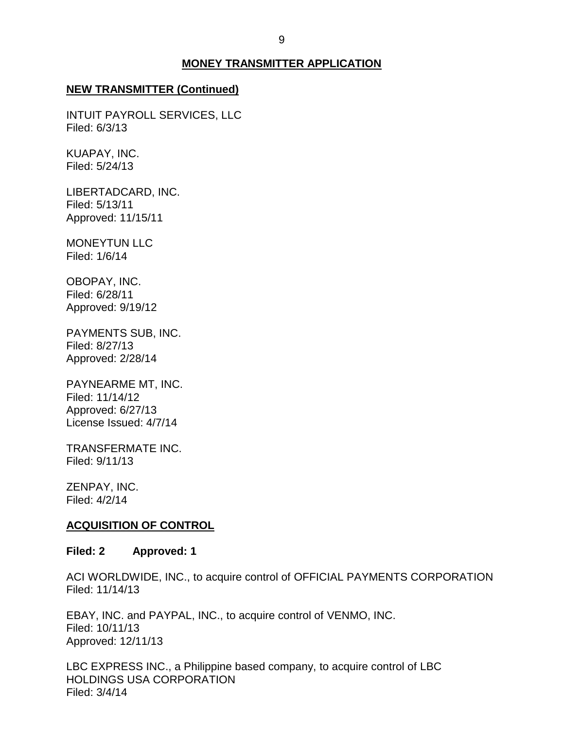### **MONEY TRANSMITTER APPLICATION**

#### <span id="page-9-0"></span>**NEW TRANSMITTER (Continued)**

 INTUIT PAYROLL SERVICES, LLC Filed: 6/3/13

KUAPAY, INC. Filed: 5/24/13

LIBERTADCARD, INC. Filed: 5/13/11 Approved: 11/15/11

MONEYTUN LLC Filed: 1/6/14

OBOPAY, INC. Filed: 6/28/11 Approved: 9/19/12

 PAYMENTS SUB, INC. Filed: 8/27/13 Approved: 2/28/14

 PAYNEARME MT, INC. License Issued: 4/7/14 Filed: 11/14/12 Approved: 6/27/13

TRANSFERMATE INC. Filed: 9/11/13

ZENPAY, INC. Filed: 4/2/14

#### **ACQUISITION OF CONTROL**

### **Filed: 2 Approved: 1**

 ACI WORLDWIDE, INC., to acquire control of OFFICIAL PAYMENTS CORPORATION Filed: 11/14/13

 EBAY, INC. and PAYPAL, INC., to acquire control of VENMO, INC. Filed: 10/11/13 Approved: 12/11/13

 LBC EXPRESS INC., a Philippine based company, to acquire control of LBC HOLDINGS USA CORPORATION Filed: 3/4/14